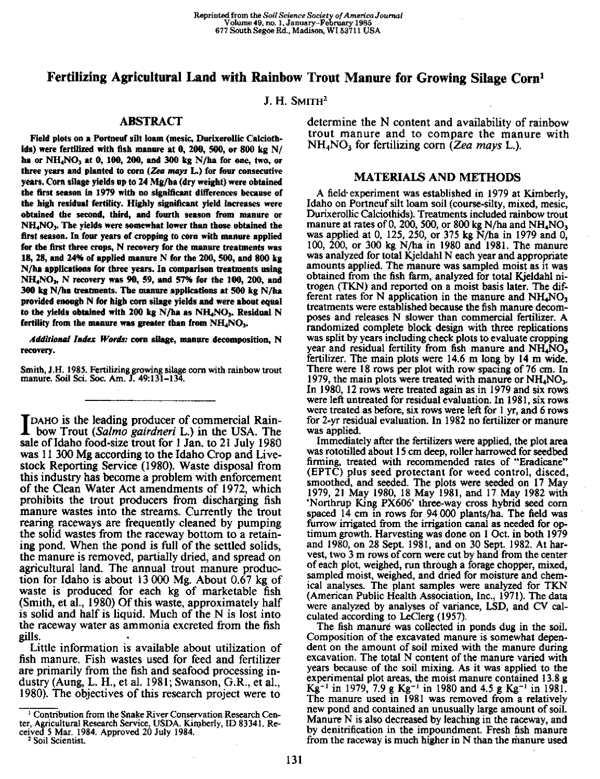# **Fertilizing Agricultural Land with Rainbow Trout Manure for Growing Silage Corn'**

J. H. SMITH<sup>2</sup>

## **ABSTRACT**

Field plots on a Portneuf silt loam (mesic, Durixerollic Calciothids) were fertilized with fish manure at 0, 200, 500, or 800 kg N/ **ha** or NH4NO3 at 0,100, 200, and 300 kg N/ha for one, two, or three years and planted to corn *(Zee mays* L.) for four consecutive years. Corn silage yields up to 24 Mg/ha (dry weight) were obtained the first season in 1979 with no significant differences because of the high residual fertility. Highly significant yield Increases were obtained the second, third, and fourth season from manure or NH4NO3. The yields were somewhat lower than those obtained the first season. In four years of cropping to corn with manure applied for the first three crops, N recovery for the manure treatments was 18, 28, and 24% of applied manure N for the 200, 500, and 800 kg N/ha applications for three years. In comparison treatments using NH<sub>4</sub>NO<sub>3</sub>, N recovery was 90, 59, and 57% for the 100, 200, and 300 kg N/ha treatments. The manure applications at 500 kg N/ha provided enough N for high corn silage yields and were about equal to the yields obtained with 200 kg N/ha as  $NH<sub>4</sub>NO<sub>3</sub>$ . Residual N fertility from the manure was greater than from  $NH<sub>4</sub>NO<sub>3</sub>$ .

*Additional Index Words:* corn silage, manure decomposition, **N** recovery.

Smith, J.H. 1985. Fertilizing growing silage corn with rainbow trout manure. Soil Sci. Soc. Am. J. 49:131-134.

TDAHO is the leading producer of commercial Rainbow Trout *(Salmo gairdneri* L.) in the USA. The sale of Idaho food-size trout for 1 Jan. to 21 July 1980 was 11 300 Mg according to the Idaho Crop and Livestock Reporting Service (1980). Waste disposal from this industry has become a problem with enforcement of the Clean Water Act amendments of 1972, which prohibits the trout producers from discharging fish manure wastes into the streams. Currently the trout rearing raceways are frequently cleaned by pumping the solid wastes from the raceway bottom to a retaining pond. When the pond is full of the settled solids, the manure is removed, partially dried, and spread on agricultural land. The annual trout manure production for Idaho is about 13 000 Mg. About 0.67 kg of waste is produced for each kg of marketable fish (Smith, et al., 1980) Of this waste, approximately half is solid and half is liquid. Much of the N is lost into the raceway water as ammonia excreted from the fish gills. •

Little information is available about utilization of fish manure. Fish wastes used for feed and fertilizer are primarily from the fish and seafood processing industry (Aung, L. H., et al. 1981; Swanson, G.R., et al., 1980). The objectives of this research project were to

<sup>1</sup> Contribution from the Snake River Conservation Research Center, Agricultural Research Service, USDA. Kimberly, ID 83341. Received 5 Mar. 1984. Approved 20 July 1984.

2 Soil Scientist.

determine the N content and availability of rainbow trout manure and to compare the manure with NH4NO<sup>3</sup> **for fertilizing corn** *(Zea mays* L.).

### MATERIALS AND METHODS

A field- experiment was established in 1979 at Kimberly, Idaho on Portneuf silt loam soil (course-silty, mixed, mesic, Durixerollic Calciothids). Treatments included rainbow trout manure at rates of 0, 200, 500, or 800 kg N/ha and NH<sub>4</sub>NO<sub>3</sub> was applied at 0, 125, 250, or 375 kg N/ha in 1979 and 0, 100, 200, or 300 kg N/ha in 1980 and 1981. The manure was analyzed for total Kjeldahl N each year and appropriate amounts applied. The manure was sampled moist as it was obtained from the fish farm, analyzed for total Kjeldahl nitrogen (TKN) and reported on a moist basis later. The different rates for N application in the manure and  $NH<sub>4</sub>NO<sub>3</sub>$ treatments were established because the fish manure decomposes and releases N slower than commercial fertilizer. A randomized complete block design with three replications was split by years including check plots to evaluate cropping year and residual fertility from fish manure and  $NH<sub>4</sub>NO<sub>3</sub>$ fertilizer. The main plots were 14.6 m long by 14 m wide. There were 18 rows per plot with row spacing of 76 cm. In 1979, the main plots were treated with manure or  $NH<sub>4</sub>NO<sub>3</sub>$ . In 1980, 12 rows were treated again as in 1979 and six rows were left untreated for residual evaluation. In 1981, six rows were treated as before, six rows were left for I yr, and 6 rows for 2-yr residual evaluation. In 1982 no fertilizer or manure was applied.

Immediately after the fertilizers were applied, the plot area was rototilled about 15 cm deep, roller harrowed for seedbed firming, treated with recommended rates of "Eradicane" (EPTC) plus seed protectant for weed control, disced, smoothed, and seeded. The plots were seeded on 17 May 1979, 21 May 1980, 18 May 1981, and 17 May 1982 with `Northrup King PX606' three-way cross hybrid seed corn spaced 14 cm in rows for 94 000 plants/ha. The field was furrow irrigated from the irrigation canal as needed for optimum growth. Harvesting was done on 1 Oct. in both 1979 and 1980, on 28 Sept. 1981, and on 30 Sept. 1982. At harvest, two 3 m rows of corn were cut by hand from the center of each plot, weighed, run through a forage chopper, mixed, sampled moist, weighed, and dried for moisture and chemical analyses. The plant samples were analyzed for TKN (American Public Health Association, Inc., 1971). The data were analyzed by analyses of variance, LSD, and CV calculated according to LeClerg (1957).

The fish manure was collected in ponds dug in the soil. Composition of the excavated manure is somewhat dependent on the amount of soil mixed with the manure during excavation. The total N content of the manure varied with years because of the soil mixing. As it was applied to the experimental plot areas, the moist manure contained 13.8 g Kg<sup>-1</sup> in 1979, 7.9 g Kg<sup>-1</sup> in 1980 and 4.5 g Kg<sup>-1</sup> in 1981. The manure used in 1981 was removed from a relatively new pond and contained an unusually large amount of soil. Manure N is also decreased by leaching in the raceway, and by denitrification in the impoundment. Fresh fish manure from the raceway is much higher in N than the manure used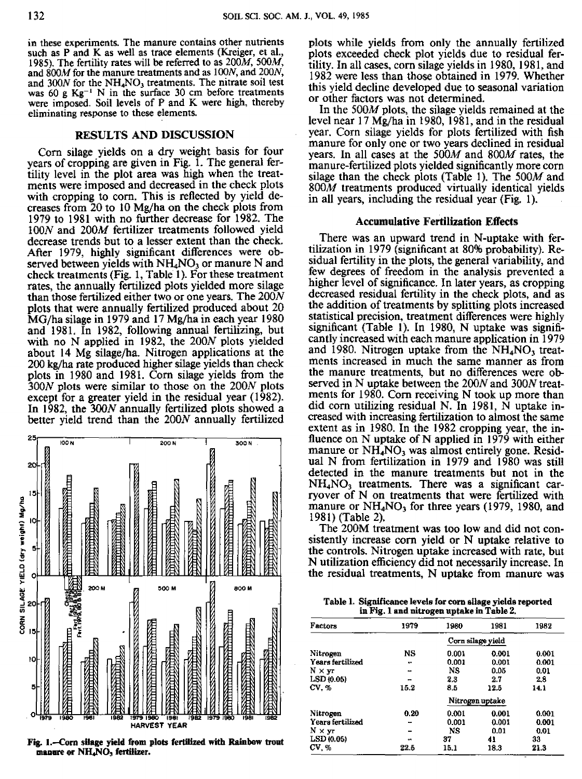in these experiments. The manure contains other nutrients such as P and K as well as trace elements (Kreiger, et al., 1985). The fertility rates will be referred to as 200M, 500M, and 800M for the manure treatments and as 100N, and 200N, and  $300N$  for the  $NH<sub>4</sub>NO<sub>3</sub>$  treatments. The nitrate soil test was 60 g  $Kg^{-1}$  N in the surface 30 cm before treatments were imposed. Soil levels of P and K were high, thereby eliminating response to these elements.

#### **RESULTS AND DISCUSSION**

Corn silage yields on a dry weight basis for four vears of cropping are given in Fig.  $\overline{1}$ . The general fertility level in the plot area was high when the treatments were imposed and decreased in the check plots with cropping to corn. This is reflected by yield decreases from 20 to 10 Mg/ha on the check plots from 1979 to 1981 with no further decrease for 1982. The 100N and 200M fertilizer treatments followed yield decrease trends but to a lesser extent than the check. After 1979, highly significant differences were observed between yields with  $NH<sub>4</sub>NO<sub>3</sub>$  or manure N and check treatments (Fig. 1, Table 1). For these treatment rates, the annually fertilized plots yielded more silage than those fertilized either two or one years. The 200N plots that were annually fertilized produced about 20 MG/ha silage in 1979 and 17 Mg/ha in each year 1980 and 1981. In 1982, following annual fertilizing, but with no N applied in 1982, the 200N plots yielded about 14 Mg silage/ha. Nitrogen applications at the  $200$  kg/ha rate produced higher silage vields than check plots **in** 1980 and 1981. Corn silage yields from the 300N plots were similar to those on the 200N plots except for a greater yield in the residual year (1982). In 1982, the 300N annually fertilized plots showed a better yield trend than the 200N annually fertilized



**Fig. 1.—Corn silage yield from plots fertilized with Rainbow trout** manure or NH<sub>4</sub>NO<sub>3</sub> fertilizer.

plots while yields from only the annually fertilized plots exceeded check plot yields due to residual fertility. In all cases, corn silage yields in 1980, 1981, and 1982 were less than those obtained in 1979. Whether this yield decline developed due to seasonal variation or other factors was not determined.

In the 500M plots, the silage yields remained at the level near 17 Mg/ha in 1980, 1981, and in the residual year. Corn silage yields for plots fertilized with fish manure for only one or two years declined in residual years. In all cases at the 500M and 800M rates, the manure-fertilized plots yielded significantly more corn silage than the check plots (Table 1). The  $500M$  and  $800M$  treatments produced virtually identical yields in all years, including the residual year (Fig. 1).

#### **Accumulative Fertilization Effects**

There was an upward trend in N-uptake with fertilization in 1979 (significant at 80% probability). Residual fertility in the plots, the general variability, and few degrees of freedom in the analysis prevented a higher level of significance. In later years, as cropping decreased residual fertility in the check plots, and as the addition of treatments by splitting plots increased statistical precision, treatment differences were highly significant (Table 1). In 1980, N uptake was significantly increased with each manure application in 1979 and 1980. Nitrogen uptake from the  $NH<sub>4</sub>NO<sub>3</sub>$  treatments increased in much the same manner as from the manure treatments, but no differences were observed in N uptake between the 200N and 300N treatments for 1980. Corn receiving N took up more than did corn utilizing residual N. In 1981, N uptake increased with increasing fertilization to almost the same extent as in 1980. In the 1982 cropping year, the influence on N uptake of N applied in 1979 with either manure or  $NH<sub>4</sub>NO<sub>3</sub>$  was almost entirely gone. Residual N from fertilization in 1979 and 1980 was still detected in the manure treatments but not in the  $NH<sub>4</sub>NO<sub>3</sub>$  treatments. There was a significant carryover of N on treatments that were fertilized with manure or  $NH<sub>4</sub>NO<sub>3</sub>$  for three years (1979, 1980, and 1981) (Table 2).

The 200M treatment was too low and did not consistently increase corn yield or N uptake relative to the controls. Nitrogen uptake increased with rate, but N utilization efficiency did not necessarily increase. In the residual treatments, N uptake from manure was

Table 1. Significance levels for corn silage yields reported in Fig. 1 and nitrogen uptake in Table 2.

| Factors          | 1979      | 1980  | 1981              | 1982  |
|------------------|-----------|-------|-------------------|-------|
|                  |           |       | Corn silage yield |       |
| Nitrogen         | NS        | 0.001 | 0.001             | 0.001 |
| Years fertilized | 98        | 0.001 | 0.001             | 0.001 |
| $N \times yr$    | -         | NS.   | 0.05              | 0.01  |
| LSD (0.05)       | -         | 2.3   | 2.7               | 2.8   |
| CV, %            | 15.2      | 8.5   | 12.5              | 14.1  |
|                  |           |       | Nitrogen uptake   |       |
| Nitrogen         | 0.20      | 0.001 | 0.001             | 0.001 |
| Years fertilized | н.        | 0.001 | 0.001             | 0.001 |
| $N \times yr$    |           | NS.   | 0.01              | 0.01  |
| LSD (0.05)       | $\bullet$ | 37    | 41                | 33    |
| CV, %            | 22.5      | 15.1  | 18.3              | 21.3  |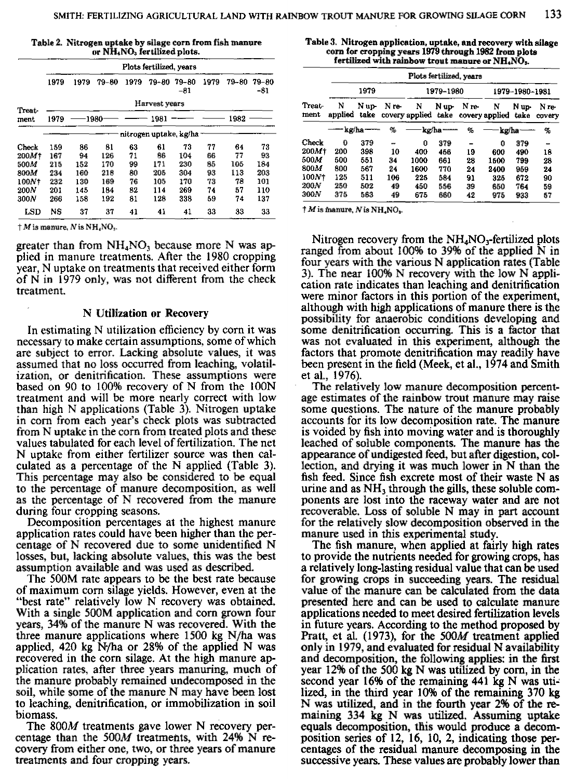|  |                                                      | Table 2. Nitrogen uptake by silage corn from fish manure |
|--|------------------------------------------------------|----------------------------------------------------------|
|  | or NH <sub>4</sub> NO <sub>3</sub> fertilized plots. |                                                          |

|        | Plots fertilized, years |      |           |      |       |                         |      |       |              |  |
|--------|-------------------------|------|-----------|------|-------|-------------------------|------|-------|--------------|--|
|        | 1979                    | 1979 | $79 - 80$ | 1979 | 79-80 | 79-80<br>$-81$          | 1979 | 79-80 | 79-80<br>-81 |  |
| Treat- | Harvest years           |      |           |      |       |                         |      |       |              |  |
| ment   | 1979                    |      | -1980     |      | 1981  |                         |      | 1982  |              |  |
|        |                         |      |           |      |       | nitrogen uptake, kg/ha- |      |       |              |  |
| Check  | 159                     | 86   | 81        | 63   | 61    | 73                      | 77   | 64    | 73           |  |
| 200M+  | 167                     | 94   | 126       | 71   | 96    | 104                     | 66   | 77    | 93           |  |
| 500M   | 215                     | 152  | 170       | 99   | 171   | 230                     | 85   | 105   | 184          |  |
| 800M   | 234                     | 160  | 218       | 80   | 205   | 304                     | 93   | 113   | 203          |  |
| 100N+  | 232                     | 130  | 169       | 76   | 105   | 170                     | 73   | 78    | 101          |  |
| 200N   | 201                     | 145  | 184       | 82   | 114   | 269                     | 74   | 57    | 110          |  |
| 300N   | 266                     | 158  | 192       | 81   | 128   | 338                     | 59   | 74    | 137          |  |
| LSD    | <b>NS</b>               | 37   | 37        | 41   | 41    | 41                      | 33   | 33    | 33           |  |

 $\dagger M$  is manure, N is NH, NO<sub>3</sub>.

greater than from  $NH<sub>4</sub>NO<sub>3</sub>$  because more N was applied in manure treatments. After the 1980 cropping year, N uptake on treatments that received either form of N in 1979 only, was not different from the check treatment.

#### **N Utilization or Recovery**

In estimating N utilization efficiency by corn it was necessary to make certain assumptions, some of which are subject to error. Lacking absolute values, it was assumed that no loss occurred from leaching, volatilization, or denitrification. These assumptions were based on 90 to 100% recovery of N from the 100N treatment and will be more nearly correct with low than high N applications (Table 3). Nitrogen uptake in corn from each year's check plots was subtracted from N uptake in the corn from treated plots and these values tabulated for each level of fertilization. The net N uptake from either fertilizer source was then calculated as a percentage of the N applied (Table 3). This percentage may also be considered to be equal to the percentage of manure decomposition, as well as the percentage of N recovered from the manure during four cropping seasons.

Decomposition percentages at the highest manure application rates could have been higher than the percentage of N recovered due to some unidentified N losses, but, lacking absolute values, this was the best assumption available and was used as described.

The 500M rate appears to be the best rate because of maximum corn silage yields. However, even at the "best rate" relatively low N recovery was obtained. With a single 500M application and corn grown four years, 34% of the manure N was recovered. With the three manure applications where 1500 kg N/ha was applied, 420 kg  $N/m$  or 28% of the applied N was recovered in the corn silage. At the high manure application rates, after three years manuring, much of the manure probably remained undecomposed in the soil, while some of the manure N may have been lost to leaching, denitrification, or immobilization in soil biomass.

The 800M treatments gave lower N recovery percentage than the 500M treatments, with 24% N recovery from either one, two, or three years of manure treatments and four cropping years.

**Table 3. Nitrogen application, uptake, and recovery with silage corn for cropping years 1979 through 1982 from plots** fertilized with rainbow trout manure or NH<sub>4</sub>NO<sub>3</sub>.

|                   | Plots fertilized, years |               |       |                          |       |       |                     |               |                 |
|-------------------|-------------------------|---------------|-------|--------------------------|-------|-------|---------------------|---------------|-----------------|
| Treat-<br>ment    | 1979                    |               |       | 1979-1980                |       |       | 1979-1980-1981      |               |                 |
|                   | N<br>applied            | N up-<br>take | N re- | N<br>covery applied take | N up- | N re- | N<br>covery applied | N up-<br>take | N re-<br>covery |
|                   | — kg/ha ——              |               | %     | kg/ha-                   |       | %     | kg/ha-              |               | %               |
| Check             | $\mathbf 0$             | 379           | -     | 0                        | 379   |       | 0                   | 379           | -               |
| 200M <sup>+</sup> | 200                     | 398           | 10    | 400                      | 455   | 19    | 600                 | 490           | 18              |
| 500M              | 500                     | 551           | 34    | 1000                     | 661   | 28    | 1600                | 799           | 28              |
| 800M              | 800                     | 567           | 24    | 1600                     | 770   | 24    | 2400                | 959           | 24              |
| 100N+             | 125                     | 511           | 106   | 225                      | 584   | 91    | 325                 | 672           | 90              |
| <b>200N</b>       | 250                     | 502           | 49    | 450                      | 556   | 39    | 650                 | 764           | 59              |
| 300N              | 375                     | 563           | 49    | 675                      | 660   | 42    | 975                 | 933           | 67              |

 $\dagger$  *M* is manure, *N* is NH<sub>4</sub>NO<sub>3</sub>.

Nitrogen recovery from the  $NH<sub>4</sub>NO<sub>3</sub>$ -fertilized plots ranged from about 100% to 39% of the applied N in four years with the various N application rates (Table 3). The near 100% N recovery with the low N application rate indicates than leaching and denitrification were minor factors in this portion of the experiment, although with high applications of manure there is the possibility for anaerobic conditions developing and some denitrification occurring. This is a factor that was not evaluated in this experiment, although the factors that promote denitrification may readily have been present in the field (Meek, et al., 1974 and Smith et al., 1976).

The relatively low manure decomposition percentage estimates of the rainbow trout manure may raise some questions. The nature of the manure probably accounts for its low decomposition rate. The manure is voided by fish into moving water and is thoroughly leached of soluble components. The manure has the appearance of undigested feed, but after digestion, collection, and drying it was much lower in N than the fish feed. Since fish excrete most of their waste N as urine and as  $NH<sub>3</sub>$  through the gills, these soluble components are lost into the raceway water and are not recoverable. Loss of soluble N may in part account for the relatively slow decomposition observed in the manure used in this experimental study.

The fish manure, when applied at fairly high rates to provide the nutrients needed for growing crops, has a relatively long-lasting residual value that can be used for growing crops in succeeding years. The residual value of the manure can be calculated from the data presented here and can be used to calculate manure applications needed to meet desired fertilization levels in future years. According to the method proposed by Pratt, et al. (1973), for the 500M treatment applied only in 1979, and evaluated for residual N availability and decomposition, the following applies: in the first year 12% of the 500 kg N was utilized by corn, in the second year 16% of the remaining 441 kg N was utilized, in the third year 10% of the remaining 370 kg N was utilized, and in the fourth year 2% of the remaining 334 kg N was utilized. Assuming uptake equals decomposition, this would produce a decomposition series of 12, 16, 10, 2, indicating those percentages of the residual manure decomposing in the successive years. These values are probably lower than